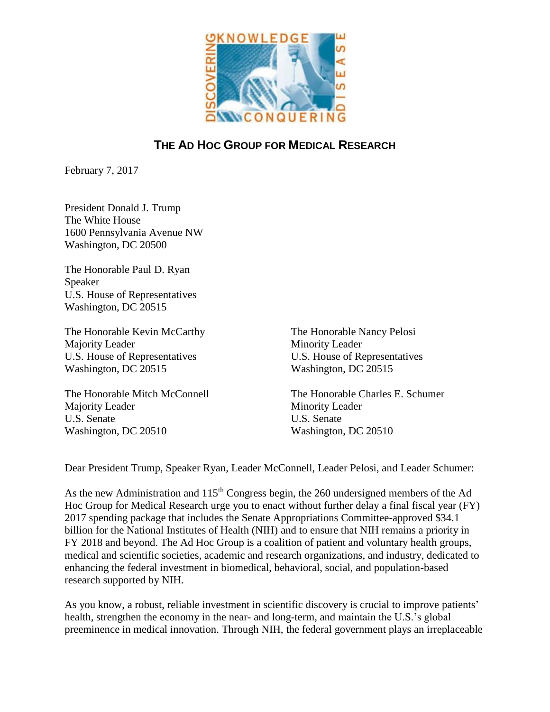

## **THE AD HOC GROUP FOR MEDICAL RESEARCH**

February 7, 2017

President Donald J. Trump The White House 1600 Pennsylvania Avenue NW Washington, DC 20500

The Honorable Paul D. Ryan Speaker U.S. House of Representatives Washington, DC 20515

The Honorable Kevin McCarthy Majority Leader U.S. House of Representatives Washington, DC 20515

The Honorable Mitch McConnell Majority Leader U.S. Senate Washington, DC 20510

The Honorable Nancy Pelosi Minority Leader U.S. House of Representatives Washington, DC 20515

The Honorable Charles E. Schumer Minority Leader U.S. Senate Washington, DC 20510

Dear President Trump, Speaker Ryan, Leader McConnell, Leader Pelosi, and Leader Schumer:

As the new Administration and  $115<sup>th</sup>$  Congress begin, the 260 undersigned members of the Ad Hoc Group for Medical Research urge you to enact without further delay a final fiscal year (FY) 2017 spending package that includes the Senate Appropriations Committee-approved \$34.1 billion for the National Institutes of Health (NIH) and to ensure that NIH remains a priority in FY 2018 and beyond. The Ad Hoc Group is a coalition of patient and voluntary health groups, medical and scientific societies, academic and research organizations, and industry, dedicated to enhancing the federal investment in biomedical, behavioral, social, and population-based research supported by NIH.

As you know, a robust, reliable investment in scientific discovery is crucial to improve patients' health, strengthen the economy in the near- and long-term, and maintain the U.S.'s global preeminence in medical innovation. Through NIH, the federal government plays an irreplaceable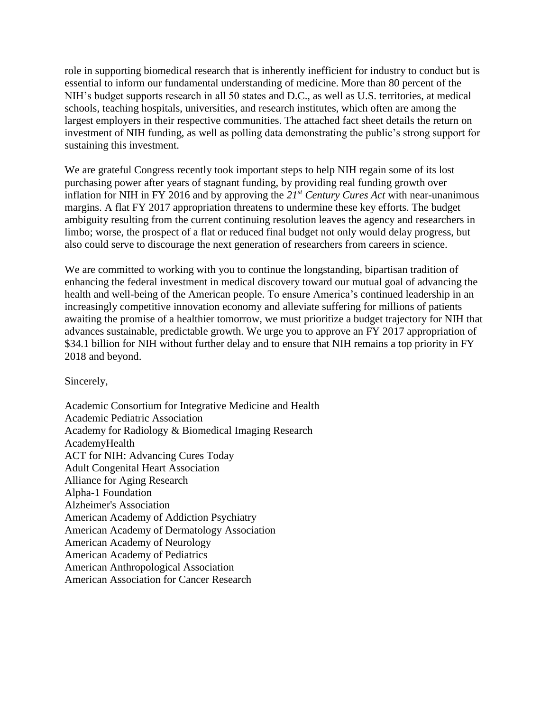role in supporting biomedical research that is inherently inefficient for industry to conduct but is essential to inform our fundamental understanding of medicine. More than 80 percent of the NIH's budget supports research in all 50 states and D.C., as well as U.S. territories, at medical schools, teaching hospitals, universities, and research institutes, which often are among the largest employers in their respective communities. The attached fact sheet details the return on investment of NIH funding, as well as polling data demonstrating the public's strong support for sustaining this investment.

We are grateful Congress recently took important steps to help NIH regain some of its lost purchasing power after years of stagnant funding, by providing real funding growth over inflation for NIH in FY 2016 and by approving the *21st Century Cures Act* with near-unanimous margins. A flat FY 2017 appropriation threatens to undermine these key efforts. The budget ambiguity resulting from the current continuing resolution leaves the agency and researchers in limbo; worse, the prospect of a flat or reduced final budget not only would delay progress, but also could serve to discourage the next generation of researchers from careers in science.

We are committed to working with you to continue the longstanding, bipartisan tradition of enhancing the federal investment in medical discovery toward our mutual goal of advancing the health and well-being of the American people. To ensure America's continued leadership in an increasingly competitive innovation economy and alleviate suffering for millions of patients awaiting the promise of a healthier tomorrow, we must prioritize a budget trajectory for NIH that advances sustainable, predictable growth. We urge you to approve an FY 2017 appropriation of \$34.1 billion for NIH without further delay and to ensure that NIH remains a top priority in FY 2018 and beyond.

Sincerely,

Academic Consortium for Integrative Medicine and Health Academic Pediatric Association Academy for Radiology & Biomedical Imaging Research AcademyHealth ACT for NIH: Advancing Cures Today Adult Congenital Heart Association Alliance for Aging Research Alpha-1 Foundation Alzheimer's Association American Academy of Addiction Psychiatry American Academy of Dermatology Association American Academy of Neurology American Academy of Pediatrics American Anthropological Association American Association for Cancer Research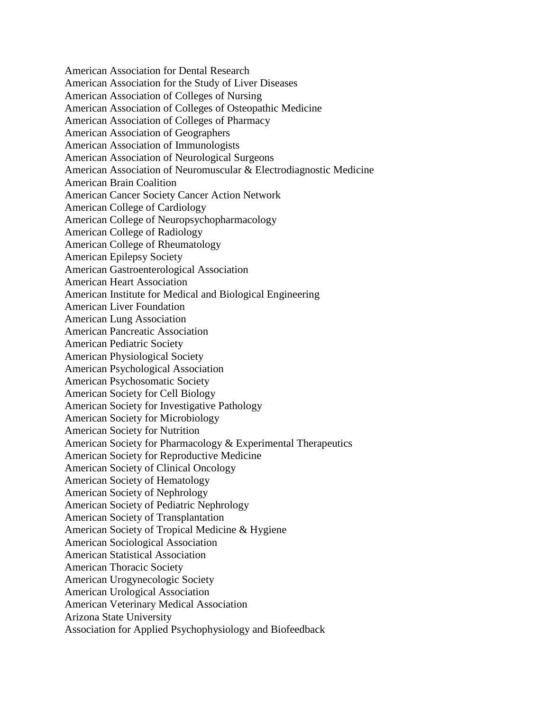American Association for Dental Research American Association for the Study of Liver Diseases American Association of Colleges of Nursing American Association of Colleges of Osteopathic Medicine American Association of Colleges of Pharmacy American Association of Geographers American Association of Immunologists American Association of Neurological Surgeons American Association of Neuromuscular & Electrodiagnostic Medicine American Brain Coalition American Cancer Society Cancer Action Network American College of Cardiology American College of Neuropsychopharmacology American College of Radiology American College of Rheumatology American Epilepsy Society American Gastroenterological Association American Heart Association American Institute for Medical and Biological Engineering American Liver Foundation American Lung Association American Pancreatic Association American Pediatric Society American Physiological Society American Psychological Association American Psychosomatic Society American Society for Cell Biology American Society for Investigative Pathology American Society for Microbiology American Society for Nutrition American Society for Pharmacology & Experimental Therapeutics American Society for Reproductive Medicine American Society of Clinical Oncology American Society of Hematology American Society of Nephrology American Society of Pediatric Nephrology American Society of Transplantation American Society of Tropical Medicine & Hygiene American Sociological Association American Statistical Association American Thoracic Society American Urogynecologic Society American Urological Association American Veterinary Medical Association Arizona State University Association for Applied Psychophysiology and Biofeedback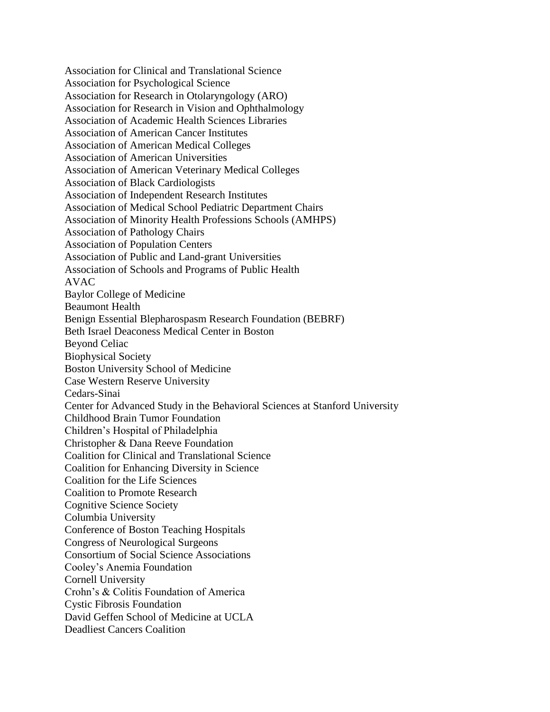Association for Clinical and Translational Science Association for Psychological Science Association for Research in Otolaryngology (ARO) Association for Research in Vision and Ophthalmology Association of Academic Health Sciences Libraries Association of American Cancer Institutes Association of American Medical Colleges Association of American Universities Association of American Veterinary Medical Colleges Association of Black Cardiologists Association of Independent Research Institutes Association of Medical School Pediatric Department Chairs Association of Minority Health Professions Schools (AMHPS) Association of Pathology Chairs Association of Population Centers Association of Public and Land-grant Universities Association of Schools and Programs of Public Health AVAC Baylor College of Medicine Beaumont Health Benign Essential Blepharospasm Research Foundation (BEBRF) Beth Israel Deaconess Medical Center in Boston Beyond Celiac Biophysical Society Boston University School of Medicine Case Western Reserve University Cedars-Sinai Center for Advanced Study in the Behavioral Sciences at Stanford University Childhood Brain Tumor Foundation Children's Hospital of Philadelphia Christopher & Dana Reeve Foundation Coalition for Clinical and Translational Science Coalition for Enhancing Diversity in Science Coalition for the Life Sciences Coalition to Promote Research Cognitive Science Society Columbia University Conference of Boston Teaching Hospitals Congress of Neurological Surgeons Consortium of Social Science Associations Cooley's Anemia Foundation Cornell University Crohn's & Colitis Foundation of America Cystic Fibrosis Foundation David Geffen School of Medicine at UCLA Deadliest Cancers Coalition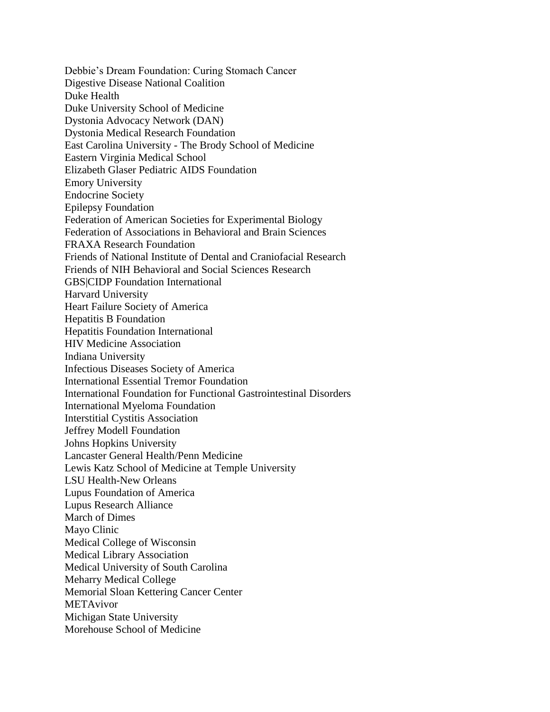Debbie's Dream Foundation: Curing Stomach Cancer Digestive Disease National Coalition Duke Health Duke University School of Medicine Dystonia Advocacy Network (DAN) Dystonia Medical Research Foundation East Carolina University - The Brody School of Medicine Eastern Virginia Medical School Elizabeth Glaser Pediatric AIDS Foundation Emory University Endocrine Society Epilepsy Foundation Federation of American Societies for Experimental Biology Federation of Associations in Behavioral and Brain Sciences FRAXA Research Foundation Friends of National Institute of Dental and Craniofacial Research Friends of NIH Behavioral and Social Sciences Research GBS|CIDP Foundation International Harvard University Heart Failure Society of America Hepatitis B Foundation Hepatitis Foundation International HIV Medicine Association Indiana University Infectious Diseases Society of America International Essential Tremor Foundation International Foundation for Functional Gastrointestinal Disorders International Myeloma Foundation Interstitial Cystitis Association Jeffrey Modell Foundation Johns Hopkins University Lancaster General Health/Penn Medicine Lewis Katz School of Medicine at Temple University LSU Health-New Orleans Lupus Foundation of America Lupus Research Alliance March of Dimes Mayo Clinic Medical College of Wisconsin Medical Library Association Medical University of South Carolina Meharry Medical College Memorial Sloan Kettering Cancer Center METAvivor Michigan State University Morehouse School of Medicine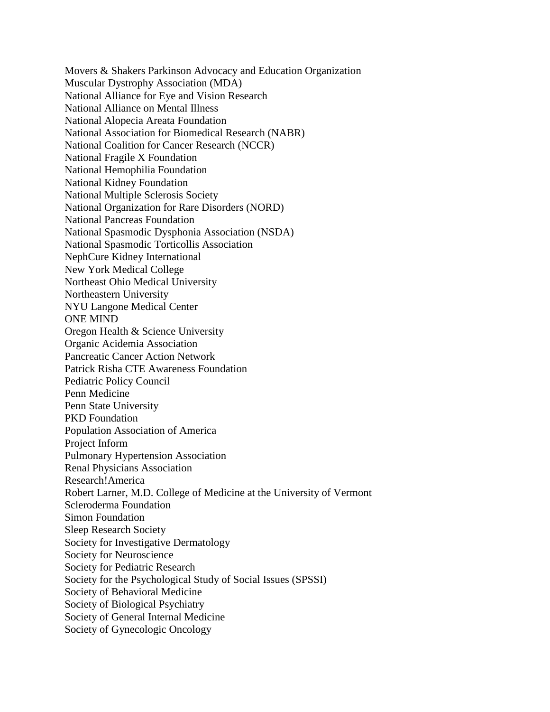Movers & Shakers Parkinson Advocacy and Education Organization Muscular Dystrophy Association (MDA) National Alliance for Eye and Vision Research National Alliance on Mental Illness National Alopecia Areata Foundation National Association for Biomedical Research (NABR) National Coalition for Cancer Research (NCCR) National Fragile X Foundation National Hemophilia Foundation National Kidney Foundation National Multiple Sclerosis Society National Organization for Rare Disorders (NORD) National Pancreas Foundation National Spasmodic Dysphonia Association (NSDA) National Spasmodic Torticollis Association NephCure Kidney International New York Medical College Northeast Ohio Medical University Northeastern University NYU Langone Medical Center ONE MIND Oregon Health & Science University Organic Acidemia Association Pancreatic Cancer Action Network Patrick Risha CTE Awareness Foundation Pediatric Policy Council Penn Medicine Penn State University PKD Foundation Population Association of America Project Inform Pulmonary Hypertension Association Renal Physicians Association Research!America Robert Larner, M.D. College of Medicine at the University of Vermont Scleroderma Foundation Simon Foundation Sleep Research Society Society for Investigative Dermatology Society for Neuroscience Society for Pediatric Research Society for the Psychological Study of Social Issues (SPSSI) Society of Behavioral Medicine Society of Biological Psychiatry Society of General Internal Medicine Society of Gynecologic Oncology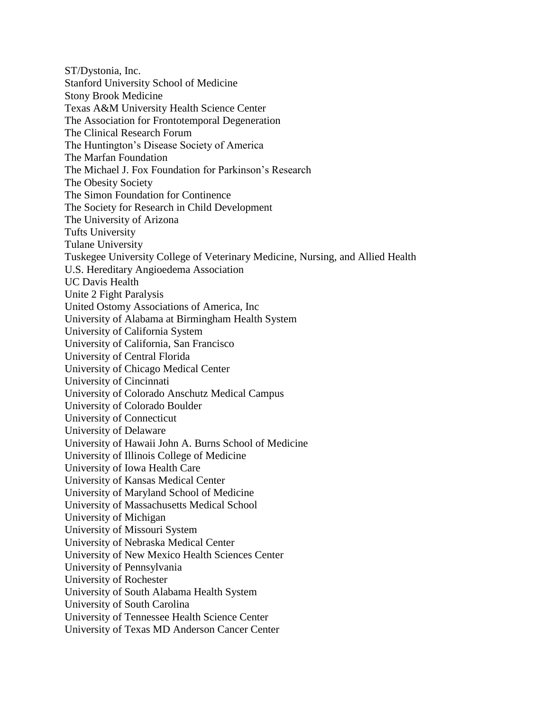ST/Dystonia, Inc. Stanford University School of Medicine Stony Brook Medicine Texas A&M University Health Science Center The Association for Frontotemporal Degeneration The Clinical Research Forum The Huntington's Disease Society of America The Marfan Foundation The Michael J. Fox Foundation for Parkinson's Research The Obesity Society The Simon Foundation for Continence The Society for Research in Child Development The University of Arizona Tufts University Tulane University Tuskegee University College of Veterinary Medicine, Nursing, and Allied Health U.S. Hereditary Angioedema Association UC Davis Health Unite 2 Fight Paralysis United Ostomy Associations of America, Inc University of Alabama at Birmingham Health System University of California System University of California, San Francisco University of Central Florida University of Chicago Medical Center University of Cincinnati University of Colorado Anschutz Medical Campus University of Colorado Boulder University of Connecticut University of Delaware University of Hawaii John A. Burns School of Medicine University of Illinois College of Medicine University of Iowa Health Care University of Kansas Medical Center University of Maryland School of Medicine University of Massachusetts Medical School University of Michigan University of Missouri System University of Nebraska Medical Center University of New Mexico Health Sciences Center University of Pennsylvania University of Rochester University of South Alabama Health System University of South Carolina University of Tennessee Health Science Center University of Texas MD Anderson Cancer Center